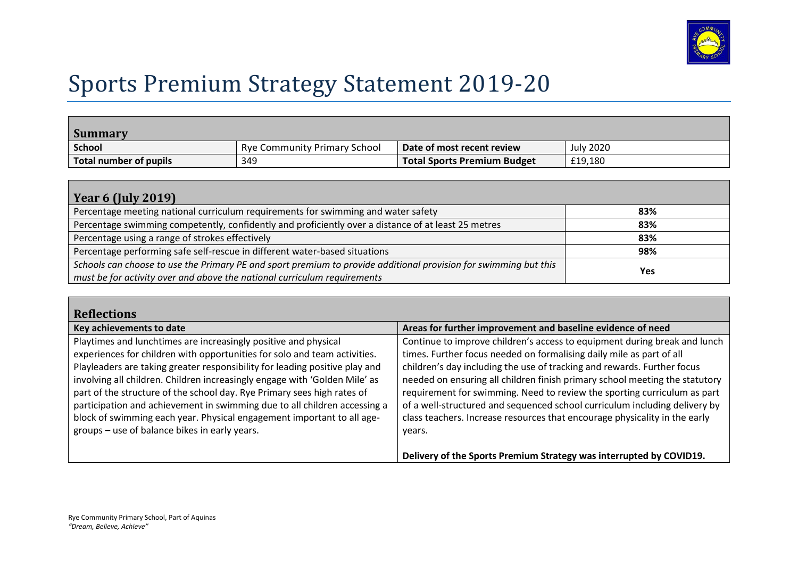

## Sports Premium Strategy Statement 2019-20

| <b>Summary</b>         |                              |                                                          |                  |
|------------------------|------------------------------|----------------------------------------------------------|------------------|
| <b>School</b>          | Rye Community Primary School | $\blacksquare$ Date of most recent review $\blacksquare$ | <b>July 2020</b> |
| Total number of pupils | 349                          | <b>Total Sports Premium Budget</b>                       | £19.180          |

| Year 6 (July 2019)                                                                                               |     |
|------------------------------------------------------------------------------------------------------------------|-----|
| Percentage meeting national curriculum requirements for swimming and water safety                                | 83% |
| Percentage swimming competently, confidently and proficiently over a distance of at least 25 metres              | 83% |
| Percentage using a range of strokes effectively                                                                  | 83% |
| Percentage performing safe self-rescue in different water-based situations                                       | 98% |
| Schools can choose to use the Primary PE and sport premium to provide additional provision for swimming but this |     |
| must be for activity over and above the national curriculum requirements                                         | Yes |

| <b>Reflections</b>                                                                                                                                                                                                                                                                                                                                                                                                                                                                                                                                                                           |                                                                                                                                                                                                                                                                                                                                                                                                                                                                                                                                                               |
|----------------------------------------------------------------------------------------------------------------------------------------------------------------------------------------------------------------------------------------------------------------------------------------------------------------------------------------------------------------------------------------------------------------------------------------------------------------------------------------------------------------------------------------------------------------------------------------------|---------------------------------------------------------------------------------------------------------------------------------------------------------------------------------------------------------------------------------------------------------------------------------------------------------------------------------------------------------------------------------------------------------------------------------------------------------------------------------------------------------------------------------------------------------------|
| Key achievements to date                                                                                                                                                                                                                                                                                                                                                                                                                                                                                                                                                                     | Areas for further improvement and baseline evidence of need                                                                                                                                                                                                                                                                                                                                                                                                                                                                                                   |
| Playtimes and lunchtimes are increasingly positive and physical<br>experiences for children with opportunities for solo and team activities.<br>Playleaders are taking greater responsibility for leading positive play and<br>involving all children. Children increasingly engage with 'Golden Mile' as<br>part of the structure of the school day. Rye Primary sees high rates of<br>participation and achievement in swimming due to all children accessing a<br>block of swimming each year. Physical engagement important to all age-<br>groups - use of balance bikes in early years. | Continue to improve children's access to equipment during break and lunch<br>times. Further focus needed on formalising daily mile as part of all<br>children's day including the use of tracking and rewards. Further focus<br>needed on ensuring all children finish primary school meeting the statutory<br>requirement for swimming. Need to review the sporting curriculum as part<br>of a well-structured and sequenced school curriculum including delivery by<br>class teachers. Increase resources that encourage physicality in the early<br>years. |
|                                                                                                                                                                                                                                                                                                                                                                                                                                                                                                                                                                                              | Delivery of the Sports Premium Strategy was interrupted by COVID19.                                                                                                                                                                                                                                                                                                                                                                                                                                                                                           |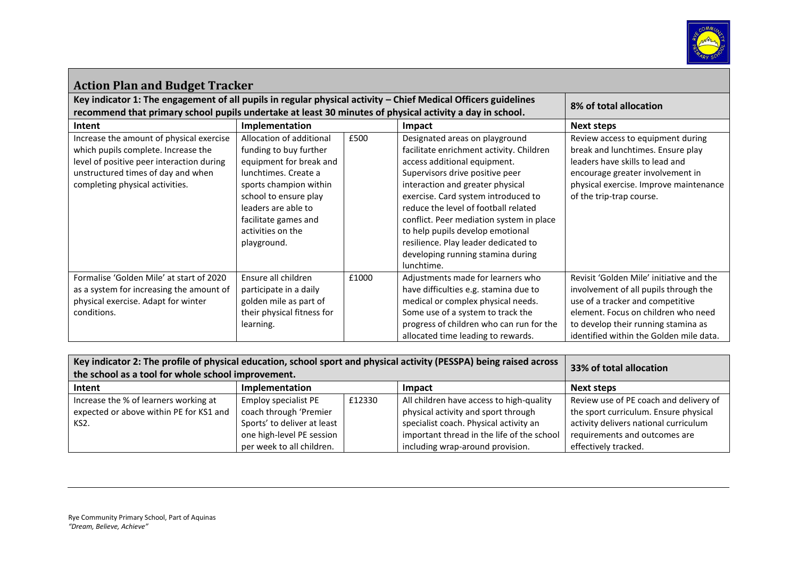

| <b>Action Plan and Budget Tracker</b>                                                                                                                                                                                      |                                                                                                                                                                                                                                             |       |                                                                                                                                                                                                                                                                                                                                                                                                                                             |                                                                                                                                                                                                                     |  |
|----------------------------------------------------------------------------------------------------------------------------------------------------------------------------------------------------------------------------|---------------------------------------------------------------------------------------------------------------------------------------------------------------------------------------------------------------------------------------------|-------|---------------------------------------------------------------------------------------------------------------------------------------------------------------------------------------------------------------------------------------------------------------------------------------------------------------------------------------------------------------------------------------------------------------------------------------------|---------------------------------------------------------------------------------------------------------------------------------------------------------------------------------------------------------------------|--|
| Key indicator 1: The engagement of all pupils in regular physical activity - Chief Medical Officers guidelines<br>recommend that primary school pupils undertake at least 30 minutes of physical activity a day in school. | 8% of total allocation                                                                                                                                                                                                                      |       |                                                                                                                                                                                                                                                                                                                                                                                                                                             |                                                                                                                                                                                                                     |  |
| Intent                                                                                                                                                                                                                     | Implementation<br>Impact                                                                                                                                                                                                                    |       |                                                                                                                                                                                                                                                                                                                                                                                                                                             | Next steps                                                                                                                                                                                                          |  |
| Increase the amount of physical exercise<br>which pupils complete. Increase the<br>level of positive peer interaction during<br>unstructured times of day and when<br>completing physical activities.                      | Allocation of additional<br>funding to buy further<br>equipment for break and<br>lunchtimes. Create a<br>sports champion within<br>school to ensure play<br>leaders are able to<br>facilitate games and<br>activities on the<br>playground. | £500  | Designated areas on playground<br>facilitate enrichment activity. Children<br>access additional equipment.<br>Supervisors drive positive peer<br>interaction and greater physical<br>exercise. Card system introduced to<br>reduce the level of football related<br>conflict. Peer mediation system in place<br>to help pupils develop emotional<br>resilience. Play leader dedicated to<br>developing running stamina during<br>lunchtime. | Review access to equipment during<br>break and lunchtimes. Ensure play<br>leaders have skills to lead and<br>encourage greater involvement in<br>physical exercise. Improve maintenance<br>of the trip-trap course. |  |
| Formalise 'Golden Mile' at start of 2020<br>as a system for increasing the amount of<br>physical exercise. Adapt for winter<br>conditions.                                                                                 | Ensure all children<br>participate in a daily<br>golden mile as part of<br>their physical fitness for                                                                                                                                       | £1000 | Adjustments made for learners who<br>have difficulties e.g. stamina due to<br>medical or complex physical needs.<br>Some use of a system to track the                                                                                                                                                                                                                                                                                       | Revisit 'Golden Mile' initiative and the<br>involvement of all pupils through the<br>use of a tracker and competitive<br>element. Focus on children who need                                                        |  |
|                                                                                                                                                                                                                            | learning.                                                                                                                                                                                                                                   |       | progress of children who can run for the<br>allocated time leading to rewards.                                                                                                                                                                                                                                                                                                                                                              | to develop their running stamina as<br>identified within the Golden mile data.                                                                                                                                      |  |

| Key indicator 2: The profile of physical education, school sport and physical activity (PESSPA) being raised across<br>the school as a tool for whole school improvement. | 33% of total allocation     |        |                                            |                                        |
|---------------------------------------------------------------------------------------------------------------------------------------------------------------------------|-----------------------------|--------|--------------------------------------------|----------------------------------------|
| Intent                                                                                                                                                                    | Implementation              |        | Impact                                     | <b>Next steps</b>                      |
| Increase the % of learners working at                                                                                                                                     | <b>Employ specialist PE</b> | £12330 | All children have access to high-quality   | Review use of PE coach and delivery of |
| expected or above within PE for KS1 and                                                                                                                                   | coach through 'Premier      |        | physical activity and sport through        | the sport curriculum. Ensure physical  |
| KS2.                                                                                                                                                                      | Sports' to deliver at least |        | specialist coach. Physical activity an     | activity delivers national curriculum  |
|                                                                                                                                                                           | one high-level PE session   |        | important thread in the life of the school | requirements and outcomes are          |
|                                                                                                                                                                           | per week to all children.   |        | including wrap-around provision.           | effectively tracked.                   |